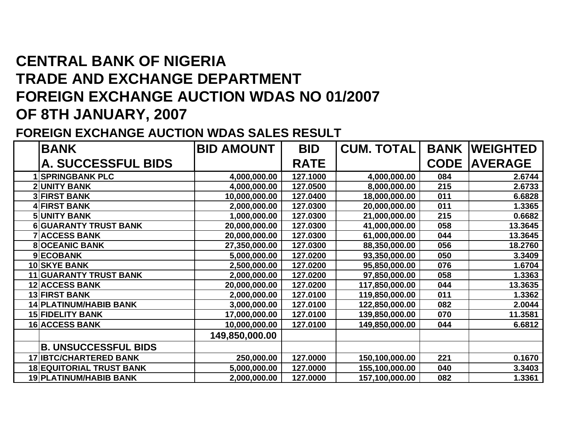## **CENTRAL BANK OF NIGERIA TRADE AND EXCHANGE DEPARTMENT FOREIGN EXCHANGE AUCTION WDAS NO 01/2007 OF 8TH JANUARY, 2007**

## **FOREIGN EXCHANGE AUCTION WDAS SALES RESULT**

| <b>BANK</b>                     | <b>BID AMOUNT</b> | <b>BID</b>  | <b>CUM. TOTAL</b> | <b>BANK</b> | <b>WEIGHTED</b> |
|---------------------------------|-------------------|-------------|-------------------|-------------|-----------------|
| <b>A. SUCCESSFUL BIDS</b>       |                   | <b>RATE</b> |                   | <b>CODE</b> | <b>AVERAGE</b>  |
| <b>SPRINGBANK PLC</b>           | 4,000,000.00      | 127.1000    | 4,000,000.00      | 084         | 2.6744          |
| <b>2 UNITY BANK</b>             | 4,000,000.00      | 127.0500    | 8,000,000.00      | 215         | 2.6733          |
| <b>3 FIRST BANK</b>             | 10,000,000.00     | 127.0400    | 18,000,000.00     | 011         | 6.6828          |
| 4 FIRST BANK                    | 2,000,000.00      | 127.0300    | 20,000,000.00     | 011         | 1.3365          |
| <b>5 UNITY BANK</b>             | 1,000,000.00      | 127.0300    | 21,000,000.00     | 215         | 0.6682          |
| <b>6 GUARANTY TRUST BANK</b>    | 20,000,000.00     | 127.0300    | 41,000,000.00     | 058         | 13.3645         |
| <b>7 ACCESS BANK</b>            | 20,000,000.00     | 127.0300    | 61,000,000.00     | 044         | 13.3645         |
| <b>8 OCEANIC BANK</b>           | 27,350,000.00     | 127.0300    | 88,350,000.00     | 056         | 18.2760         |
| 9ECOBANK                        | 5,000,000.00      | 127.0200    | 93,350,000.00     | 050         | 3.3409          |
| <b>10 SKYE BANK</b>             | 2,500,000.00      | 127.0200    | 95,850,000.00     | 076         | 1.6704          |
| <b>11 GUARANTY TRUST BANK</b>   | 2,000,000.00      | 127.0200    | 97,850,000.00     | 058         | 1.3363          |
| <b>12 ACCESS BANK</b>           | 20,000,000.00     | 127.0200    | 117,850,000.00    | 044         | 13.3635         |
| <b>13 FIRST BANK</b>            | 2,000,000.00      | 127.0100    | 119,850,000.00    | 011         | 1.3362          |
| <b>14 PLATINUM/HABIB BANK</b>   | 3,000,000.00      | 127.0100    | 122,850,000.00    | 082         | 2.0044          |
| <b>15 FIDELITY BANK</b>         | 17,000,000.00     | 127.0100    | 139,850,000.00    | 070         | 11.3581         |
| <b>16 ACCESS BANK</b>           | 10,000,000.00     | 127.0100    | 149,850,000.00    | 044         | 6.6812          |
|                                 | 149,850,000.00    |             |                   |             |                 |
| <b>B. UNSUCCESSFUL BIDS</b>     |                   |             |                   |             |                 |
| <b>17 IBTC/CHARTERED BANK</b>   | 250,000.00        | 127.0000    | 150,100,000.00    | 221         | 0.1670          |
| <b>18 EQUITORIAL TRUST BANK</b> | 5,000,000.00      | 127.0000    | 155,100,000.00    | 040         | 3.3403          |
| 19 PLATINUM/HABIB BANK          | 2,000,000.00      | 127.0000    | 157,100,000.00    | 082         | 1.3361          |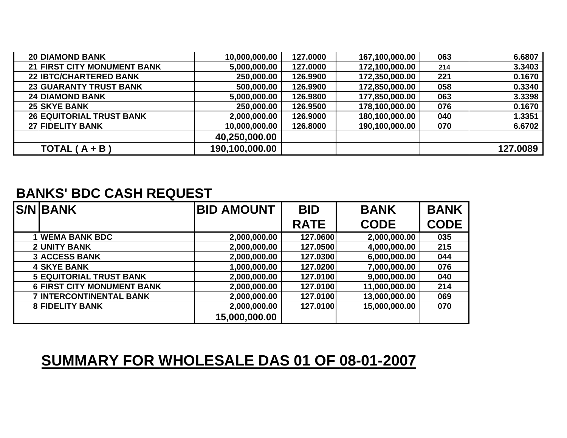| <b>20 DIAMOND BANK</b>          | 10,000,000.00  | 127.0000 | 167,100,000.00 | 063 | 6.6807   |
|---------------------------------|----------------|----------|----------------|-----|----------|
| 21 FIRST CITY MONUMENT BANK     | 5,000,000.00   | 127.0000 | 172,100,000.00 | 214 | 3.3403   |
| 22 IBTC/CHARTERED BANK          | 250,000.00     | 126.9900 | 172,350,000.00 | 221 | 0.1670   |
| <b>23 GUARANTY TRUST BANK</b>   | 500,000.00     | 126.9900 | 172,850,000.00 | 058 | 0.3340   |
| <b>24 DIAMOND BANK</b>          | 5,000,000.00   | 126.9800 | 177,850,000.00 | 063 | 3.3398   |
| <b>25 SKYE BANK</b>             | 250,000.00     | 126.9500 | 178,100,000.00 | 076 | 0.1670   |
| <b>26 EQUITORIAL TRUST BANK</b> | 2,000,000.00   | 126.9000 | 180,100,000.00 | 040 | 1.3351   |
| 27 FIDELITY BANK                | 10,000,000.00  | 126.8000 | 190,100,000.00 | 070 | 6.6702   |
|                                 | 40,250,000.00  |          |                |     |          |
| $\overline{TOTAL(A+B)}$         | 190,100,000.00 |          |                |     | 127.0089 |

## **BANKS' BDC CASH REQUEST**

| <b>S/N BANK</b>                   | <b>BID AMOUNT</b> | <b>BID</b>  | <b>BANK</b>   | <b>BANK</b> |
|-----------------------------------|-------------------|-------------|---------------|-------------|
|                                   |                   | <b>RATE</b> | <b>CODE</b>   | <b>CODE</b> |
| <b>WEMA BANK BDC</b>              | 2,000,000.00      | 127.0600    | 2,000,000.00  | 035         |
| <b>2 UNITY BANK</b>               | 2,000,000.00      | 127.0500    | 4,000,000.00  | 215         |
| <b>3 ACCESS BANK</b>              | 2,000,000.00      | 127.0300    | 6,000,000.00  | 044         |
| <b>4 SKYE BANK</b>                | 1,000,000.00      | 127.0200    | 7,000,000.00  | 076         |
| <b>5 EQUITORIAL TRUST BANK</b>    | 2,000,000.00      | 127.0100    | 9,000,000.00  | 040         |
| <b>6 FIRST CITY MONUMENT BANK</b> | 2,000,000.00      | 127.0100    | 11,000,000.00 | 214         |
| <b>7 INTERCONTINENTAL BANK</b>    | 2,000,000.00      | 127.0100    | 13,000,000.00 | 069         |
| <b>8 FIDELITY BANK</b>            | 2,000,000.00      | 127.0100    | 15,000,000.00 | 070         |
|                                   | 15,000,000.00     |             |               |             |

## **SUMMARY FOR WHOLESALE DAS 01 OF 08-01-2007**